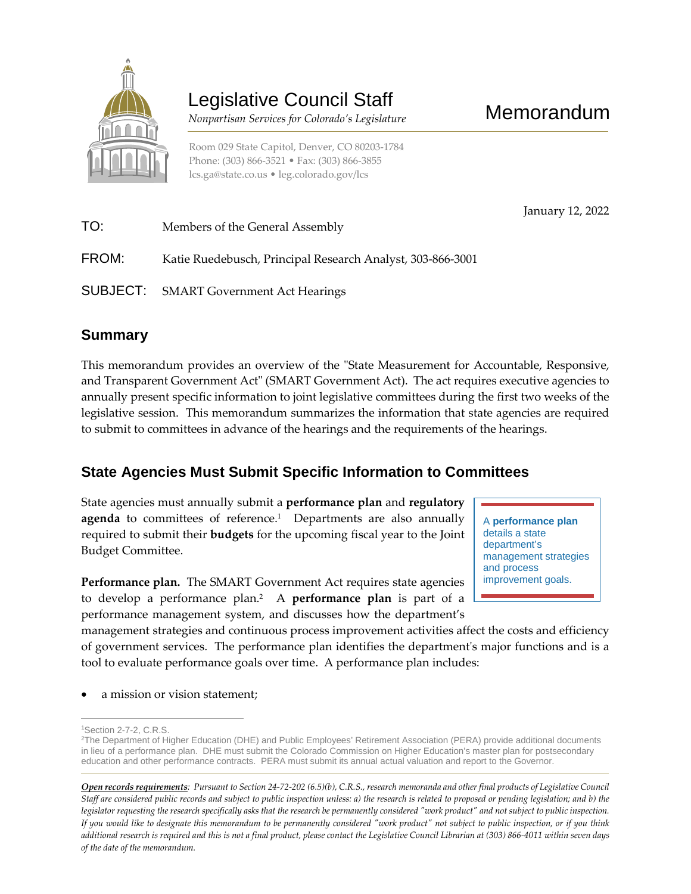

# Legislative Council Staff

 *Nonpartisan Services for Colorado's Legislature* 

Room 029 State Capitol, Denver, CO 80203-1784 Phone: (303) 866-3521 • Fax: (303) 866-3855 [lcs.ga@state.co.us](mailto:lcs.ga@state.co.us) • [leg.colorado.gov/lcs](http://leg.colorado.gov/lcs)

January 12, 2022 TO: Members of the General Assembly FROM: Katie Ruedebusch, Principal Research Analyst, 303-866-3001 SUBJECT: SMART Government Act Hearings

## **Summary**

This memorandum provides an overview of the "State Measurement for Accountable, Responsive, and Transparent Government Act" (SMART Government Act). The act requires executive agencies to annually present specific information to joint legislative committees during the first two weeks of the legislative session. This memorandum summarizes the information that state agencies are required to submit to committees in advance of the hearings and the requirements of the hearings.

## **State Agencies Must Submit Specific Information to Committees**

State agencies must annually submit a **performance plan** and **regulatory agenda** to committees of reference.<sup>1</sup> Departments are also annually required to submit their **budgets** for the upcoming fiscal year to the Joint Budget Committee.

**Performance plan.** The SMART Government Act requires state agencies to develop a performance plan.<sup>2</sup> A **performance plan** is part of a performance management system, and discusses how the department's

A **performance plan** details a state department's management strategies and process improvement goals.

management strategies and continuous process improvement activities affect the costs and efficiency of government services. The performance plan identifies the department's major functions and is a tool to evaluate performance goals over time. A performance plan includes:

a mission or vision statement;

 $\overline{a}$ 

<sup>1</sup>Section 2-7-2, C.R.S.

<sup>2</sup>The Department of Higher Education (DHE) and Public Employees' Retirement Association (PERA) provide additional documents in lieu of a performance plan. DHE must submit the Colorado Commission on Higher Education's master plan for postsecondary education and other performance contracts. PERA must submit its annual actual valuation and report to the Governor.

*Open records requirements: Pursuant to Section 24-72-202 (6.5)(b), C.R.S., research memoranda and other final products of Legislative Council Staff are considered public records and subject to public inspection unless: a) the research is related to proposed or pending legislation; and b) the legislator requesting the research specifically asks that the research be permanently considered "work product" and not subject to public inspection. If you would like to designate this memorandum to be permanently considered "work product" not subject to public inspection, or if you think additional research is required and this is not a final product, please contact the Legislative Council Librarian at (303) 866-4011 within seven days of the date of the memorandum.*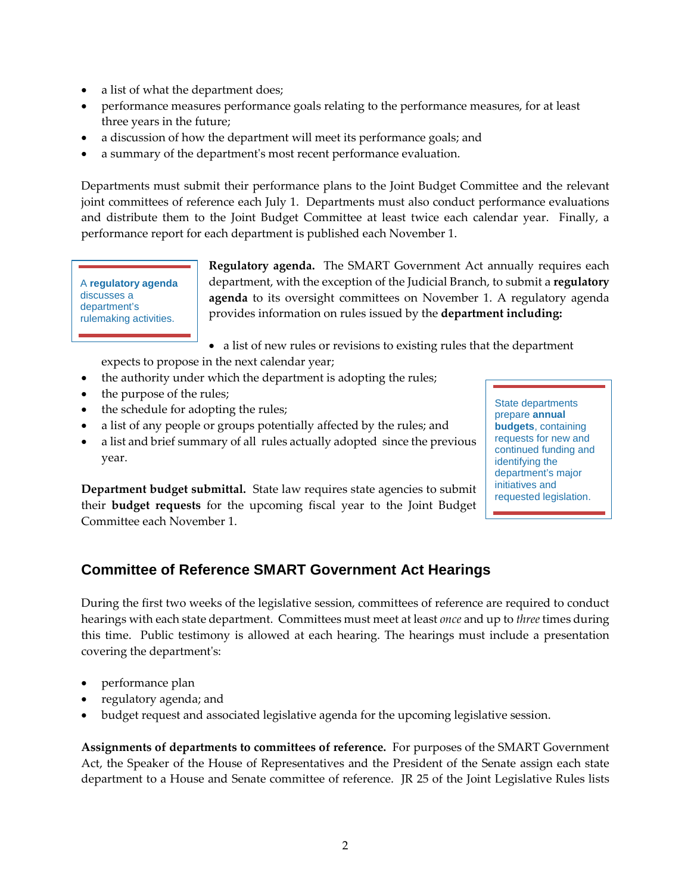- a list of what the department does;
- performance measures performance goals relating to the performance measures, for at least three years in the future;
- a discussion of how the department will meet its performance goals; and
- a summary of the department's most recent performance evaluation.

Departments must submit their performance plans to the Joint Budget Committee and the relevant joint committees of reference each July 1. Departments must also conduct performance evaluations and distribute them to the Joint Budget Committee at least twice each calendar year. Finally, a performance report for each department is published each November 1.

A **regulatory agenda**  discusses a department's rulemaking activities.

**Regulatory agenda.** The SMART Government Act annually requires each department, with the exception of the Judicial Branch, to submit a **regulatory agenda** to its oversight committees on November 1. A regulatory agenda provides information on rules issued by the **department including:**

a list of new rules or revisions to existing rules that the department

expects to propose in the next calendar year;

- the authority under which the department is adopting the rules;
- the purpose of the rules;
- the schedule for adopting the rules;
- a list of any people or groups potentially affected by the rules; and
- a list and brief summary of all rules actually adopted since the previous year.

**Department budget submittal.** State law requires state agencies to submit their **budget requests** for the upcoming fiscal year to the Joint Budget Committee each November 1.

#### **Committee of Reference SMART Government Act Hearings**

During the first two weeks of the legislative session, committees of reference are required to conduct hearings with each state department. Committees must meet at least *once* and up to *three* times during this time. Public testimony is allowed at each hearing. The hearings must include a presentation covering the department's:

- performance plan
- regulatory agenda; and
- budget request and associated legislative agenda for the upcoming legislative session.

**Assignments of departments to committees of reference.** For purposes of the SMART Government Act, the Speaker of the House of Representatives and the President of the Senate assign each state department to a House and Senate committee of reference. JR 25 of the Joint Legislative Rules lists

State departments prepare **annual budgets**, containing requests for new and continued funding and identifying the department's major initiatives and requested legislation.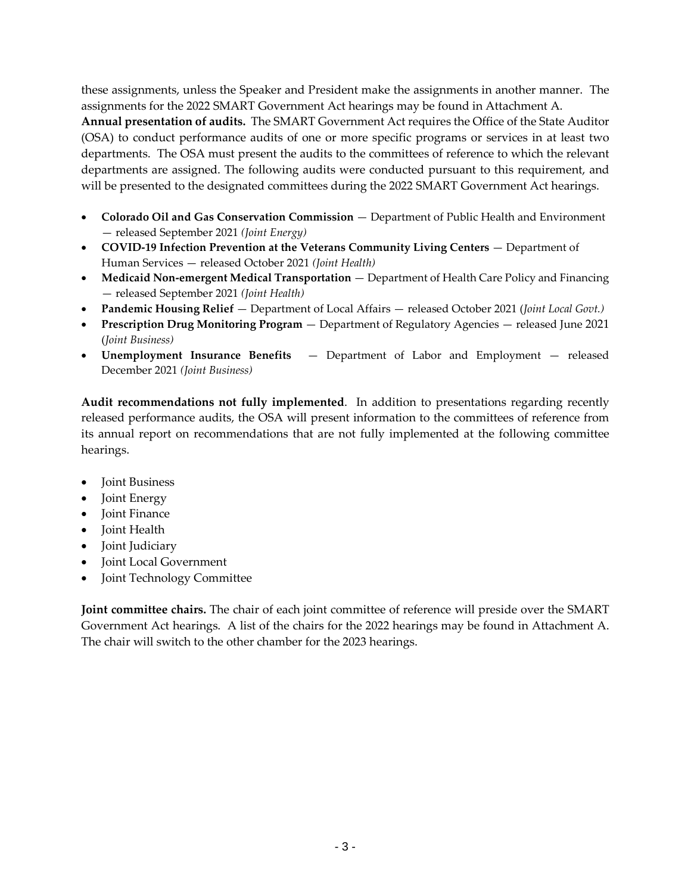these assignments, unless the Speaker and President make the assignments in another manner. The assignments for the 2022 SMART Government Act hearings may be found in Attachment A.

**Annual presentation of audits.** The SMART Government Act requires the Office of the State Auditor (OSA) to conduct performance audits of one or more specific programs or services in at least two departments. The OSA must present the audits to the committees of reference to which the relevant departments are assigned. The following audits were conducted pursuant to this requirement, and will be presented to the designated committees during the 2022 SMART Government Act hearings.

- **Colorado Oil and Gas Conservation Commission**  Department of Public Health and Environment — released September 2021 *(Joint Energy)*
- **COVID-19 Infection Prevention at the Veterans Community Living Centers Department of** Human Services — released October 2021 *(Joint Health)*
- **Medicaid Non-emergent Medical Transportation**  Department of Health Care Policy and Financing — released September 2021 *(Joint Health)*
- **Pandemic Housing Relief** Department of Local Affairs released October 2021 (*Joint Local Govt.)*
- **Prescription Drug Monitoring Program** Department of Regulatory Agencies released June 2021 (*Joint Business)*
- **Unemployment Insurance Benefits**  Department of Labor and Employment released December 2021 *(Joint Business)*

**Audit recommendations not fully implemented**. In addition to presentations regarding recently released performance audits, the OSA will present information to the committees of reference from its annual report on recommendations that are not fully implemented at the following committee hearings.

- Joint Business
- Joint Energy
- Joint Finance
- Joint Health
- Joint Judiciary
- Joint Local Government
- Joint Technology Committee

**Joint committee chairs.** The chair of each joint committee of reference will preside over the SMART Government Act hearings. A list of the chairs for the 2022 hearings may be found in Attachment A. The chair will switch to the other chamber for the 2023 hearings.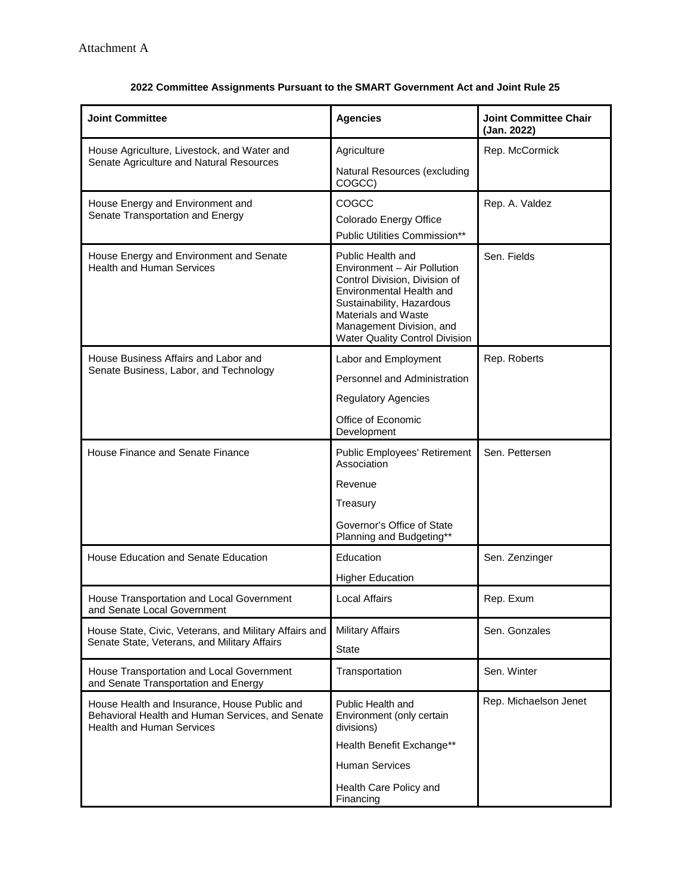| <b>Joint Committee</b>                                                                                                               | <b>Agencies</b>                                                                                                                                                                                                                               | <b>Joint Committee Chair</b><br>(Jan. 2022) |
|--------------------------------------------------------------------------------------------------------------------------------------|-----------------------------------------------------------------------------------------------------------------------------------------------------------------------------------------------------------------------------------------------|---------------------------------------------|
| House Agriculture, Livestock, and Water and<br>Senate Agriculture and Natural Resources                                              | Agriculture                                                                                                                                                                                                                                   | Rep. McCormick                              |
|                                                                                                                                      | Natural Resources (excluding<br>COGCC)                                                                                                                                                                                                        |                                             |
| House Energy and Environment and<br>Senate Transportation and Energy                                                                 | COGCC<br>Colorado Energy Office<br>Public Utilities Commission**                                                                                                                                                                              | Rep. A. Valdez                              |
| House Energy and Environment and Senate<br><b>Health and Human Services</b>                                                          | Public Health and<br>Environment - Air Pollution<br>Control Division, Division of<br>Environmental Health and<br>Sustainability, Hazardous<br><b>Materials and Waste</b><br>Management Division, and<br><b>Water Quality Control Division</b> | Sen. Fields                                 |
| House Business Affairs and Labor and<br>Senate Business, Labor, and Technology                                                       | Labor and Employment                                                                                                                                                                                                                          | Rep. Roberts                                |
|                                                                                                                                      | Personnel and Administration                                                                                                                                                                                                                  |                                             |
|                                                                                                                                      | <b>Regulatory Agencies</b>                                                                                                                                                                                                                    |                                             |
|                                                                                                                                      | Office of Economic<br>Development                                                                                                                                                                                                             |                                             |
| House Finance and Senate Finance                                                                                                     | Public Employees' Retirement<br>Association                                                                                                                                                                                                   | Sen. Pettersen                              |
|                                                                                                                                      | Revenue                                                                                                                                                                                                                                       |                                             |
|                                                                                                                                      | Treasury                                                                                                                                                                                                                                      |                                             |
|                                                                                                                                      | Governor's Office of State<br>Planning and Budgeting**                                                                                                                                                                                        |                                             |
| House Education and Senate Education                                                                                                 | Education                                                                                                                                                                                                                                     | Sen. Zenzinger                              |
|                                                                                                                                      | <b>Higher Education</b>                                                                                                                                                                                                                       |                                             |
| House Transportation and Local Government<br>and Senate Local Government                                                             | <b>Local Affairs</b>                                                                                                                                                                                                                          | Rep. Exum                                   |
| House State, Civic, Veterans, and Military Affairs and<br>Senate State, Veterans, and Military Affairs                               | <b>Military Affairs</b>                                                                                                                                                                                                                       | Sen. Gonzales                               |
|                                                                                                                                      | <b>State</b>                                                                                                                                                                                                                                  |                                             |
| House Transportation and Local Government<br>and Senate Transportation and Energy                                                    | Transportation                                                                                                                                                                                                                                | Sen. Winter                                 |
| House Health and Insurance, House Public and<br>Behavioral Health and Human Services, and Senate<br><b>Health and Human Services</b> | Public Health and<br>Environment (only certain<br>divisions)                                                                                                                                                                                  | Rep. Michaelson Jenet                       |
|                                                                                                                                      | Health Benefit Exchange**                                                                                                                                                                                                                     |                                             |
|                                                                                                                                      | <b>Human Services</b>                                                                                                                                                                                                                         |                                             |
|                                                                                                                                      | Health Care Policy and<br>Financing                                                                                                                                                                                                           |                                             |

#### **2022 Committee Assignments Pursuant to the SMART Government Act and Joint Rule 25**